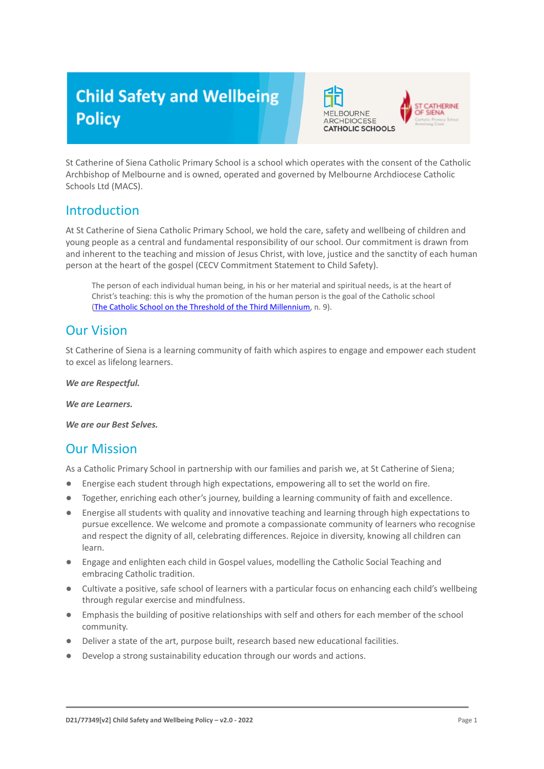# **Child Safety and Wellbeing Policy**



St Catherine of Siena Catholic Primary School is a school which operates with the consent of the Catholic Archbishop of Melbourne and is owned, operated and governed by Melbourne Archdiocese Catholic Schools Ltd (MACS).

# Introduction

At St Catherine of Siena Catholic Primary School, we hold the care, safety and wellbeing of children and young people as a central and fundamental responsibility of our school. Our commitment is drawn from and inherent to the teaching and mission of Jesus Christ, with love, justice and the sanctity of each human person at the heart of the gospel (CECV Commitment Statement to Child Safety).

The person of each individual human being, in his or her material and spiritual needs, is at the heart of Christ's teaching: this is why the promotion of the human person is the goal of the Catholic school (The Catholic School on the Threshold of the Third [Millennium,](http://www.vatican.va/roman_curia/congregations/ccatheduc/documents/rc_con_ccatheduc_doc_27041998_school2000_en.html) n. 9).

# Our Vision

St Catherine of Siena is a learning community of faith which aspires to engage and empower each student to excel as lifelong learners.

*We are Respectful.*

*We are Learners.*

*We are our Best Selves.*

# Our Mission

As a Catholic Primary School in partnership with our families and parish we, at St Catherine of Siena;

- Energise each student through high expectations, empowering all to set the world on fire.
- Together, enriching each other's journey, building a learning community of faith and excellence.
- Energise all students with quality and innovative teaching and learning through high expectations to pursue excellence. We welcome and promote a compassionate community of learners who recognise and respect the dignity of all, celebrating differences. Rejoice in diversity, knowing all children can learn.
- Engage and enlighten each child in Gospel values, modelling the Catholic Social Teaching and embracing Catholic tradition.
- Cultivate a positive, safe school of learners with a particular focus on enhancing each child's wellbeing through regular exercise and mindfulness.
- Emphasis the building of positive relationships with self and others for each member of the school community.
- Deliver a state of the art, purpose built, research based new educational facilities.
- Develop a strong sustainability education through our words and actions.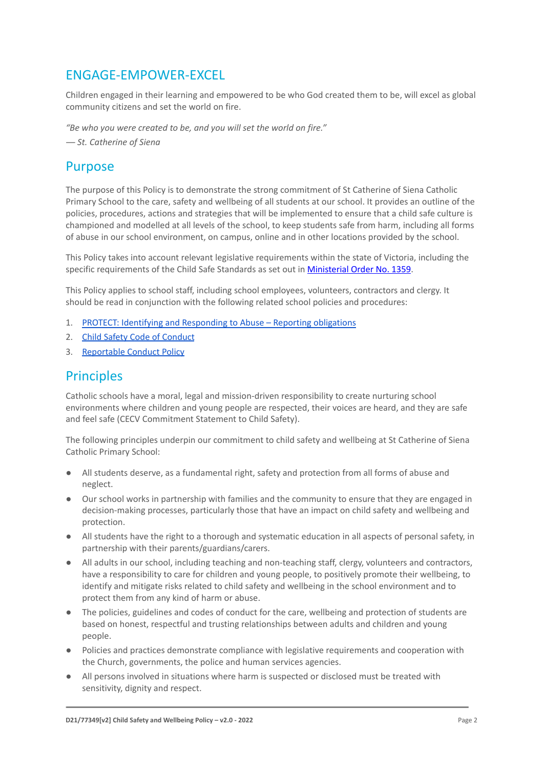# ENGAGE-EMPOWER-EXCEL

Children engaged in their learning and empowered to be who God created them to be, will excel as global community citizens and set the world on fire.

*"Be who you were created to be, and you will set the world on fire."*

*― St. Catherine of Siena*

#### Purpose

The purpose of this Policy is to demonstrate the strong commitment of St Catherine of Siena Catholic Primary School to the care, safety and wellbeing of all students at our school. It provides an outline of the policies, procedures, actions and strategies that will be implemented to ensure that a child safe culture is championed and modelled at all levels of the school, to keep students safe from harm, including all forms of abuse in our school environment, on campus, online and in other locations provided by the school.

This Policy takes into account relevant legislative requirements within the state of Victoria, including the specific requirements of the Child Safe Standards as set out in [Ministerial Order No. 1359](https://www.vrqa.vic.gov.au/Documents/MinOrder1359childsafe.pdf).

This Policy applies to school staff, including school employees, volunteers, contractors and clergy. It should be read in conjunction with the following related school policies and procedures:

- 1. [PROTECT: Identifying and Responding to Abuse Reporting obligations](https://docs.google.com/document/d/1vWJLL7aBvyfhI-sAycwQyhb1JnQAPah6/edit?usp=sharing&ouid=114647163223807717258&rtpof=true&sd=true)
- 2. [Child Safety Code of Conduct](https://docs.google.com/document/d/1gyEAyznHocFqx-_gPYcPNyJY5UliGW1w/edit?usp=sharing&ouid=114647163223807717258&rtpof=true&sd=true)
- 3. [Reportable Conduct Policy](https://docs.google.com/document/d/1sfp4r2Tw5papkBLk_9D-rtACIbTFHwrW/edit?usp=sharing&ouid=114647163223807717258&rtpof=true&sd=true)

### **Principles**

Catholic schools have a moral, legal and mission-driven responsibility to create nurturing school environments where children and young people are respected, their voices are heard, and they are safe and feel safe (CECV Commitment Statement to Child Safety).

The following principles underpin our commitment to child safety and wellbeing at St Catherine of Siena Catholic Primary School:

- All students deserve, as a fundamental right, safety and protection from all forms of abuse and neglect.
- Our school works in partnership with families and the community to ensure that they are engaged in decision-making processes, particularly those that have an impact on child safety and wellbeing and protection.
- All students have the right to a thorough and systematic education in all aspects of personal safety, in partnership with their parents/guardians/carers.
- All adults in our school, including teaching and non-teaching staff, clergy, volunteers and contractors, have a responsibility to care for children and young people, to positively promote their wellbeing, to identify and mitigate risks related to child safety and wellbeing in the school environment and to protect them from any kind of harm or abuse.
- The policies, guidelines and codes of conduct for the care, wellbeing and protection of students are based on honest, respectful and trusting relationships between adults and children and young people.
- Policies and practices demonstrate compliance with legislative requirements and cooperation with the Church, governments, the police and human services agencies.
- All persons involved in situations where harm is suspected or disclosed must be treated with sensitivity, dignity and respect.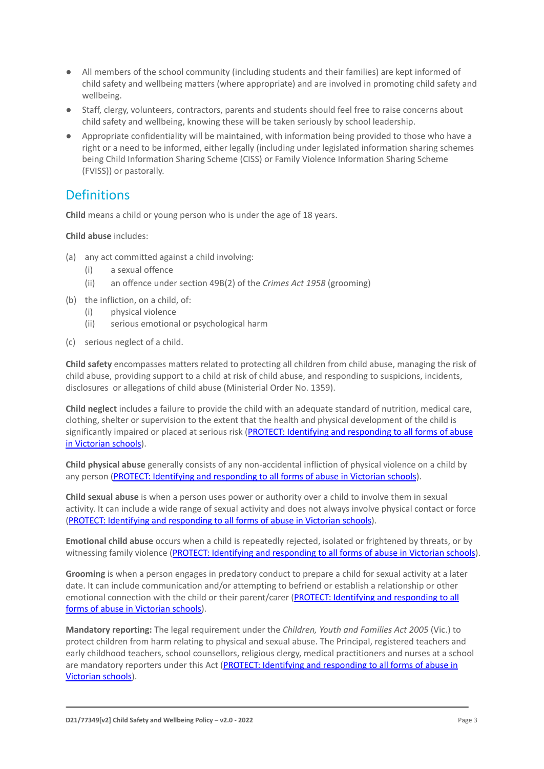- All members of the school community (including students and their families) are kept informed of child safety and wellbeing matters (where appropriate) and are involved in promoting child safety and wellbeing.
- Staff, clergy, volunteers, contractors, parents and students should feel free to raise concerns about child safety and wellbeing, knowing these will be taken seriously by school leadership.
- Appropriate confidentiality will be maintained, with information being provided to those who have a right or a need to be informed, either legally (including under legislated information sharing schemes being Child Information Sharing Scheme (CISS) or Family Violence Information Sharing Scheme (FVISS)) or pastorally.

# **Definitions**

**Child** means a child or young person who is under the age of 18 years.

**Child abuse** includes:

- (a) any act committed against a child involving:
	- (i) a sexual offence
	- (ii) an offence under section 49B(2) of the *Crimes Act 1958* (grooming)
- (b) the infliction, on a child, of:
	- (i) physical violence
	- (ii) serious emotional or psychological harm
- (c) serious neglect of a child.

**Child safety** encompasses matters related to protecting all children from child abuse, managing the risk of child abuse, providing support to a child at risk of child abuse, and responding to suspicions, incidents, disclosures or allegations of child abuse (Ministerial Order No. 1359).

**Child neglect** includes a failure to provide the child with an adequate standard of nutrition, medical care, clothing, shelter or supervision to the extent that the health and physical development of the child is significantly impaired or placed at serious risk (PROTECT: [Identifying and responding to all forms of abuse](http://www.cecv.catholic.edu.au/getmedia/ebe135a4-d1b3-48a0-81fe-50d4fc451bcd/Identifying-and-Responding-to-All-Forms-of-Abuse.aspx#page%3D27) [in Victorian schools\)](http://www.cecv.catholic.edu.au/getmedia/ebe135a4-d1b3-48a0-81fe-50d4fc451bcd/Identifying-and-Responding-to-All-Forms-of-Abuse.aspx#page%3D27).

**Child physical abuse** generally consists of any non-accidental infliction of physical violence on a child by any person [\(PROTECT: Identifying and responding to](https://www.cecv.catholic.edu.au/getmedia/ebe135a4-d1b3-48a0-81fe-50d4fc451bcd/Identifying-and-Responding-to-All-Forms-of-Abuse.aspx#page%3D15) all forms of abuse in Victorian schools).

**Child sexual abuse** is when a person uses power or authority over a child to involve them in sexual activity. It can include a wide range of sexual activity and does not always involve physical contact or force [\(PROTECT: Identifying and responding to all forms](https://www.cecv.catholic.edu.au/getmedia/ebe135a4-d1b3-48a0-81fe-50d4fc451bcd/Identifying-and-Responding-to-All-Forms-of-Abuse.aspx#page%3D17) of abuse in Victorian schools).

**Emotional child abuse** occurs when a child is repeatedly rejected, isolated or frightened by threats, or by witnessing family violence (PROTECT: Identifying and [responding to all forms of abuse in Victorian schools\)](https://www.cecv.catholic.edu.au/getmedia/ebe135a4-d1b3-48a0-81fe-50d4fc451bcd/Identifying-and-Responding-to-All-Forms-of-Abuse.aspx#page%3D26).

**Grooming** is when a person engages in predatory conduct to prepare a child for sexual activity at a later date. It can include communication and/or attempting to befriend or establish a relationship or other emotional connection with the child or their parent/carer [\(PROTECT: Identifying and responding to all](https://www.cecv.catholic.edu.au/getmedia/ebe135a4-d1b3-48a0-81fe-50d4fc451bcd/Identifying-and-Responding-to-All-Forms-of-Abuse.aspx#page%3D20) [forms of abuse in Victorian schools\)](https://www.cecv.catholic.edu.au/getmedia/ebe135a4-d1b3-48a0-81fe-50d4fc451bcd/Identifying-and-Responding-to-All-Forms-of-Abuse.aspx#page%3D20).

**Mandatory reporting:** The legal requirement under the *Children, Youth and Families Act 2005* (Vic.) to protect children from harm relating to physical and sexual abuse. The Principal, registered teachers and early childhood teachers, school counsellors, religious clergy, medical practitioners and nurses at a school are mandatory reporters under this Act (PROTECT: Identifying [and responding to all forms of abuse in](http://www.cecv.catholic.edu.au/getmedia/ebe135a4-d1b3-48a0-81fe-50d4fc451bcd/Identifying-and-Responding-to-All-Forms-of-Abuse.aspx#page%3D8) [Victorian schools](http://www.cecv.catholic.edu.au/getmedia/ebe135a4-d1b3-48a0-81fe-50d4fc451bcd/Identifying-and-Responding-to-All-Forms-of-Abuse.aspx#page%3D8)).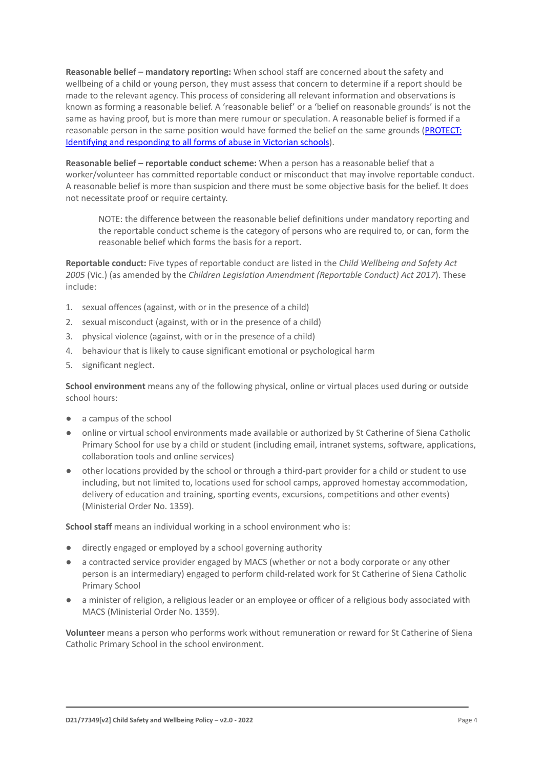**Reasonable belief – mandatory reporting:** When school staff are concerned about the safety and wellbeing of a child or young person, they must assess that concern to determine if a report should be made to the relevant agency. This process of considering all relevant information and observations is known as forming a reasonable belief. A 'reasonable belief' or a 'belief on reasonable grounds' is not the same as having proof, but is more than mere rumour or speculation. A reasonable belief is formed if a reasonable person in the same position would have formed the belief on the same grounds ([PROTECT:](http://www.cecv.catholic.edu.au/getmedia/ebe135a4-d1b3-48a0-81fe-50d4fc451bcd/Identifying-and-Responding-to-All-Forms-of-Abuse.aspx#page%3D35) [Identifying and responding to all forms of abuse in Victorian schools\)](http://www.cecv.catholic.edu.au/getmedia/ebe135a4-d1b3-48a0-81fe-50d4fc451bcd/Identifying-and-Responding-to-All-Forms-of-Abuse.aspx#page%3D35).

**Reasonable belief – reportable conduct scheme:** When a person has a reasonable belief that a worker/volunteer has committed reportable conduct or misconduct that may involve reportable conduct. A reasonable belief is more than suspicion and there must be some objective basis for the belief. It does not necessitate proof or require certainty.

NOTE: the difference between the reasonable belief definitions under mandatory reporting and the reportable conduct scheme is the category of persons who are required to, or can, form the reasonable belief which forms the basis for a report.

**Reportable conduct:** Five types of reportable conduct are listed in the *Child Wellbeing and Safety Act 2005* (Vic.) (as amended by the *Children Legislation Amendment (Reportable Conduct) Act 2017*). These include:

- 1. sexual offences (against, with or in the presence of a child)
- 2. sexual misconduct (against, with or in the presence of a child)
- 3. physical violence (against, with or in the presence of a child)
- 4. behaviour that is likely to cause significant emotional or psychological harm
- 5. significant neglect.

**School environment** means any of the following physical, online or virtual places used during or outside school hours:

- a campus of the school
- online or virtual school environments made available or authorized by St Catherine of Siena Catholic Primary School for use by a child or student (including email, intranet systems, software, applications, collaboration tools and online services)
- other locations provided by the school or through a third-part provider for a child or student to use including, but not limited to, locations used for school camps, approved homestay accommodation, delivery of education and training, sporting events, excursions, competitions and other events) (Ministerial Order No. 1359).

**School staff** means an individual working in a school environment who is:

- directly engaged or employed by a school governing authority
- a contracted service provider engaged by MACS (whether or not a body corporate or any other person is an intermediary) engaged to perform child-related work for St Catherine of Siena Catholic Primary School
- a minister of religion, a religious leader or an employee or officer of a religious body associated with MACS (Ministerial Order No. 1359).

**Volunteer** means a person who performs work without remuneration or reward for St Catherine of Siena Catholic Primary School in the school environment.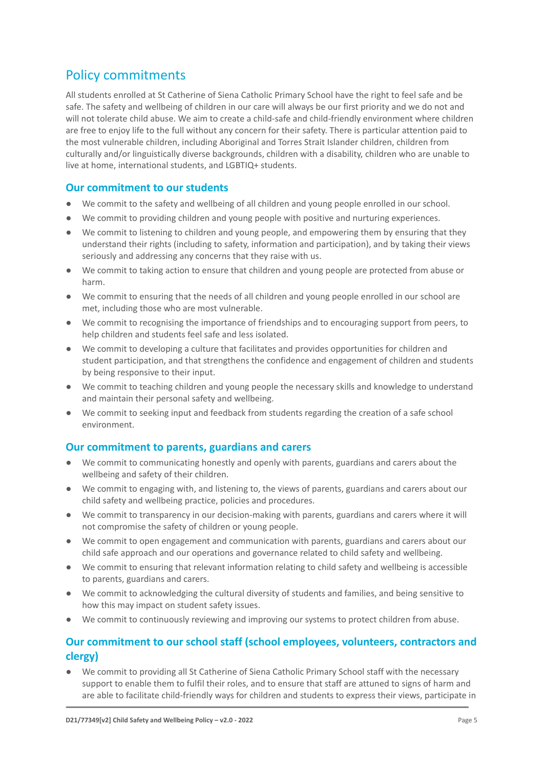# Policy commitments

All students enrolled at St Catherine of Siena Catholic Primary School have the right to feel safe and be safe. The safety and wellbeing of children in our care will always be our first priority and we do not and will not tolerate child abuse. We aim to create a child-safe and child-friendly environment where children are free to enjoy life to the full without any concern for their safety. There is particular attention paid to the most vulnerable children, including Aboriginal and Torres Strait Islander children, children from culturally and/or linguistically diverse backgrounds, children with a disability, children who are unable to live at home, international students, and LGBTIQ+ students.

#### **Our commitment to our students**

- We commit to the safety and wellbeing of all children and young people enrolled in our school.
- We commit to providing children and young people with positive and nurturing experiences.
- We commit to listening to children and young people, and empowering them by ensuring that they understand their rights (including to safety, information and participation), and by taking their views seriously and addressing any concerns that they raise with us.
- We commit to taking action to ensure that children and young people are protected from abuse or harm.
- We commit to ensuring that the needs of all children and young people enrolled in our school are met, including those who are most vulnerable.
- We commit to recognising the importance of friendships and to encouraging support from peers, to help children and students feel safe and less isolated.
- We commit to developing a culture that facilitates and provides opportunities for children and student participation, and that strengthens the confidence and engagement of children and students by being responsive to their input.
- We commit to teaching children and young people the necessary skills and knowledge to understand and maintain their personal safety and wellbeing.
- We commit to seeking input and feedback from students regarding the creation of a safe school environment.

#### **Our commitment to parents, guardians and carers**

- We commit to communicating honestly and openly with parents, guardians and carers about the wellbeing and safety of their children.
- We commit to engaging with, and listening to, the views of parents, guardians and carers about our child safety and wellbeing practice, policies and procedures.
- We commit to transparency in our decision-making with parents, guardians and carers where it will not compromise the safety of children or young people.
- We commit to open engagement and communication with parents, guardians and carers about our child safe approach and our operations and governance related to child safety and wellbeing.
- We commit to ensuring that relevant information relating to child safety and wellbeing is accessible to parents, guardians and carers.
- We commit to acknowledging the cultural diversity of students and families, and being sensitive to how this may impact on student safety issues.
- We commit to continuously reviewing and improving our systems to protect children from abuse.

#### **Our commitment to our school staff (school employees, volunteers, contractors and clergy)**

● We commit to providing all St Catherine of Siena Catholic Primary School staff with the necessary support to enable them to fulfil their roles, and to ensure that staff are attuned to signs of harm and are able to facilitate child-friendly ways for children and students to express their views, participate in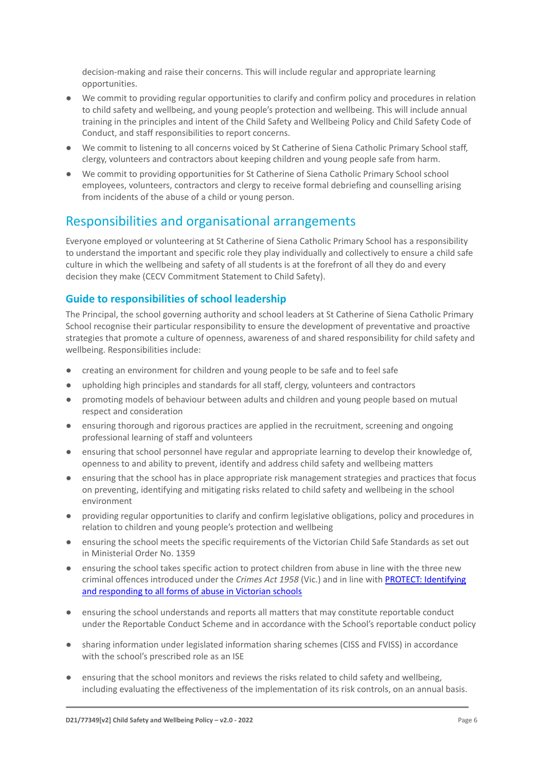decision-making and raise their concerns. This will include regular and appropriate learning opportunities.

- We commit to providing regular opportunities to clarify and confirm policy and procedures in relation to child safety and wellbeing, and young people's protection and wellbeing. This will include annual training in the principles and intent of the Child Safety and Wellbeing Policy and Child Safety Code of Conduct, and staff responsibilities to report concerns.
- We commit to listening to all concerns voiced by St Catherine of Siena Catholic Primary School staff, clergy, volunteers and contractors about keeping children and young people safe from harm.
- We commit to providing opportunities for St Catherine of Siena Catholic Primary School school employees, volunteers, contractors and clergy to receive formal debriefing and counselling arising from incidents of the abuse of a child or young person.

# Responsibilities and organisational arrangements

Everyone employed or volunteering at St Catherine of Siena Catholic Primary School has a responsibility to understand the important and specific role they play individually and collectively to ensure a child safe culture in which the wellbeing and safety of all students is at the forefront of all they do and every decision they make (CECV Commitment Statement to Child Safety).

#### **Guide to responsibilities of school leadership**

The Principal, the school governing authority and school leaders at St Catherine of Siena Catholic Primary School recognise their particular responsibility to ensure the development of preventative and proactive strategies that promote a culture of openness, awareness of and shared responsibility for child safety and wellbeing. Responsibilities include:

- creating an environment for children and young people to be safe and to feel safe
- upholding high principles and standards for all staff, clergy, volunteers and contractors
- promoting models of behaviour between adults and children and young people based on mutual respect and consideration
- ensuring thorough and rigorous practices are applied in the recruitment, screening and ongoing professional learning of staff and volunteers
- ensuring that school personnel have regular and appropriate learning to develop their knowledge of, openness to and ability to prevent, identify and address child safety and wellbeing matters
- ensuring that the school has in place appropriate risk management strategies and practices that focus on preventing, identifying and mitigating risks related to child safety and wellbeing in the school environment
- providing regular opportunities to clarify and confirm legislative obligations, policy and procedures in relation to children and young people's protection and wellbeing
- ensuring the school meets the specific requirements of the Victorian Child Safe Standards as set out in Ministerial Order No. 1359
- ensuring the school takes specific action to protect children from abuse in line with the three new criminal offences introduced under the *Crimes Act 1958* (Vic.) and in line with [PROTECT: Identifying](http://www.cecv.catholic.edu.au/getmedia/ebe135a4-d1b3-48a0-81fe-50d4fc451bcd/Identifying-and-Responding-to-All-Forms-of-Abuse.aspx) [and responding to all forms of abuse in Victorian schools](http://www.cecv.catholic.edu.au/getmedia/ebe135a4-d1b3-48a0-81fe-50d4fc451bcd/Identifying-and-Responding-to-All-Forms-of-Abuse.aspx)
- ensuring the school understands and reports all matters that may constitute reportable conduct under the Reportable Conduct Scheme and in accordance with the School's reportable conduct policy
- sharing information under legislated information sharing schemes (CISS and FVISS) in accordance with the school's prescribed role as an ISF
- ensuring that the school monitors and reviews the risks related to child safety and wellbeing, including evaluating the effectiveness of the implementation of its risk controls, on an annual basis.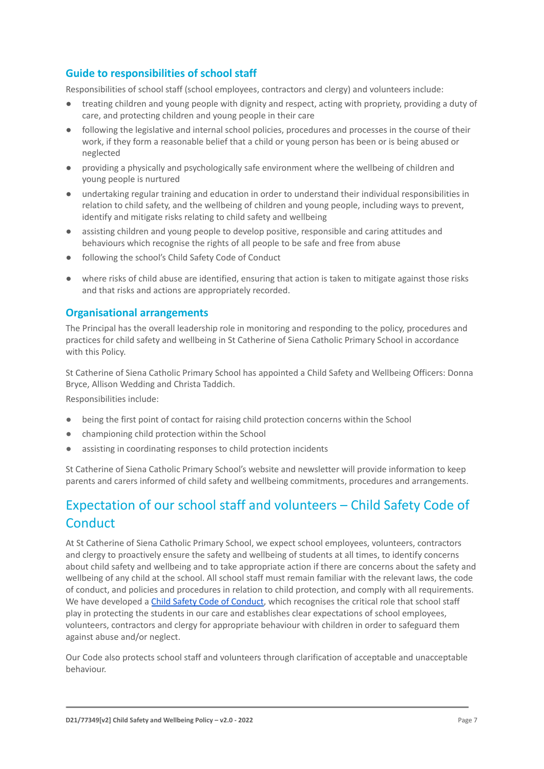#### **Guide to responsibilities of school staff**

Responsibilities of school staff (school employees, contractors and clergy) and volunteers include:

- treating children and young people with dignity and respect, acting with propriety, providing a duty of care, and protecting children and young people in their care
- following the legislative and internal school policies, procedures and processes in the course of their work, if they form a reasonable belief that a child or young person has been or is being abused or neglected
- providing a physically and psychologically safe environment where the wellbeing of children and young people is nurtured
- undertaking regular training and education in order to understand their individual responsibilities in relation to child safety, and the wellbeing of children and young people, including ways to prevent, identify and mitigate risks relating to child safety and wellbeing
- assisting children and young people to develop positive, responsible and caring attitudes and behaviours which recognise the rights of all people to be safe and free from abuse
- following the school's Child Safety Code of Conduct
- where risks of child abuse are identified, ensuring that action is taken to mitigate against those risks and that risks and actions are appropriately recorded.

#### **Organisational arrangements**

The Principal has the overall leadership role in monitoring and responding to the policy, procedures and practices for child safety and wellbeing in St Catherine of Siena Catholic Primary School in accordance with this Policy.

St Catherine of Siena Catholic Primary School has appointed a Child Safety and Wellbeing Officers: Donna Bryce, Allison Wedding and Christa Taddich.

Responsibilities include:

- being the first point of contact for raising child protection concerns within the School
- championing child protection within the School
- assisting in coordinating responses to child protection incidents

St Catherine of Siena Catholic Primary School's website and newsletter will provide information to keep parents and carers informed of child safety and wellbeing commitments, procedures and arrangements.

# Expectation of our school staff and volunteers – Child Safety Code of **Conduct**

At St Catherine of Siena Catholic Primary School, we expect school employees, volunteers, contractors and clergy to proactively ensure the safety and wellbeing of students at all times, to identify concerns about child safety and wellbeing and to take appropriate action if there are concerns about the safety and wellbeing of any child at the school. All school staff must remain familiar with the relevant laws, the code of conduct, and policies and procedures in relation to child protection, and comply with all requirements. We have developed a [Child Safety Code of Conduct](https://docs.google.com/document/d/1gyEAyznHocFqx-_gPYcPNyJY5UliGW1w/edit?usp=sharing&ouid=114647163223807717258&rtpof=true&sd=true), which recognises the critical role that school staff play in protecting the students in our care and establishes clear expectations of school employees, volunteers, contractors and clergy for appropriate behaviour with children in order to safeguard them against abuse and/or neglect.

Our Code also protects school staff and volunteers through clarification of acceptable and unacceptable behaviour.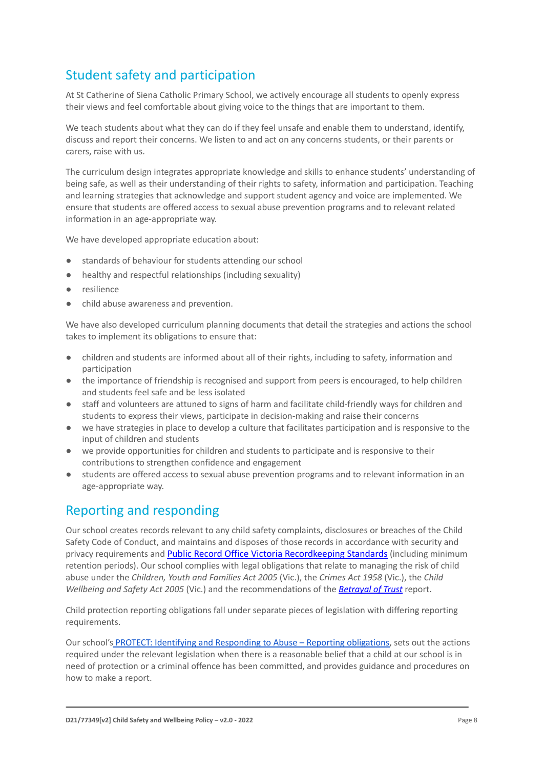# Student safety and participation

At St Catherine of Siena Catholic Primary School, we actively encourage all students to openly express their views and feel comfortable about giving voice to the things that are important to them.

We teach students about what they can do if they feel unsafe and enable them to understand, identify, discuss and report their concerns. We listen to and act on any concerns students, or their parents or carers, raise with us.

The curriculum design integrates appropriate knowledge and skills to enhance students' understanding of being safe, as well as their understanding of their rights to safety, information and participation. Teaching and learning strategies that acknowledge and support student agency and voice are implemented. We ensure that students are offered access to sexual abuse prevention programs and to relevant related information in an age-appropriate way.

We have developed appropriate education about:

- standards of behaviour for students attending our school
- healthy and respectful relationships (including sexuality)
- resilience
- child abuse awareness and prevention.

We have also developed curriculum planning documents that detail the strategies and actions the school takes to implement its obligations to ensure that:

- children and students are informed about all of their rights, including to safety, information and participation
- the importance of friendship is recognised and support from peers is encouraged, to help children and students feel safe and be less isolated
- staff and volunteers are attuned to signs of harm and facilitate child-friendly ways for children and students to express their views, participate in decision-making and raise their concerns
- we have strategies in place to develop a culture that facilitates participation and is responsive to the input of children and students
- we provide opportunities for children and students to participate and is responsive to their contributions to strengthen confidence and engagement
- students are offered access to sexual abuse prevention programs and to relevant information in an age-appropriate way.

### Reporting and responding

Our school creates records relevant to any child safety complaints, disclosures or breaches of the Child Safety Code of Conduct, and maintains and disposes of those records in accordance with security and privacy requirements and Public Record Office Victoria [Recordkeeping](https://prov.vic.gov.au/sites/default/files/files/documents/1906v1.0.pdf) Standards (including minimum retention periods). Our school complies with legal obligations that relate to managing the risk of child abuse under the *Children, Youth and Families Act 2005* (Vic.), the *Crimes Act 1958* (Vic.), the *Child Wellbeing and Safety Act 2005* (Vic.) and the recommendations of the *[Betrayal of Trust](http://www.parliament.vic.gov.au/fcdc/article/1788)* report.

Child protection reporting obligations fall under separate pieces of legislation with differing reporting requirements.

Our school's [PROTECT: Identifying and Responding to](https://docs.google.com/document/d/1vWJLL7aBvyfhI-sAycwQyhb1JnQAPah6/edit?usp=sharing&ouid=114647163223807717258&rtpof=true&sd=true) Abuse – Reporting obligations, sets out the actions required under the relevant legislation when there is a reasonable belief that a child at our school is in need of protection or a criminal offence has been committed, and provides guidance and procedures on how to make a report.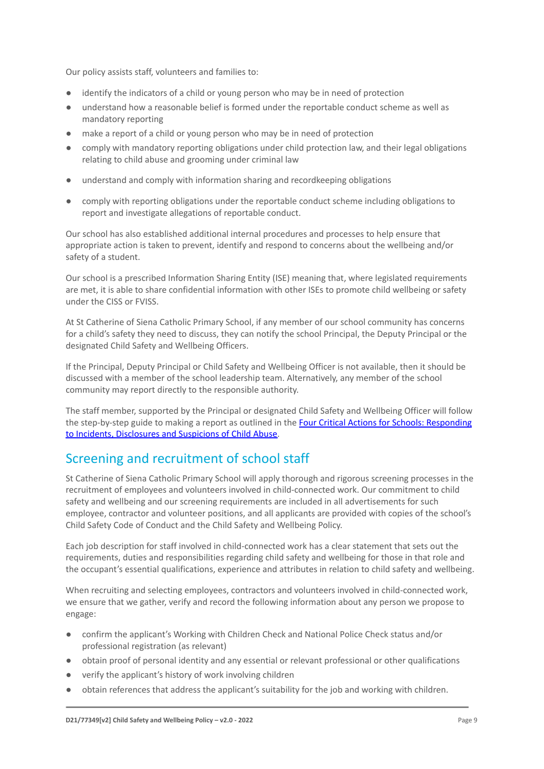Our policy assists staff, volunteers and families to:

- identify the indicators of a child or young person who may be in need of protection
- understand how a reasonable belief is formed under the reportable conduct scheme as well as mandatory reporting
- make a report of a child or young person who may be in need of protection
- comply with mandatory reporting obligations under child protection law, and their legal obligations relating to child abuse and grooming under criminal law
- understand and comply with information sharing and recordkeeping obligations
- comply with reporting obligations under the reportable conduct scheme including obligations to report and investigate allegations of reportable conduct.

Our school has also established additional internal procedures and processes to help ensure that appropriate action is taken to prevent, identify and respond to concerns about the wellbeing and/or safety of a student.

Our school is a prescribed Information Sharing Entity (ISE) meaning that, where legislated requirements are met, it is able to share confidential information with other ISEs to promote child wellbeing or safety under the CISS or FVISS.

At St Catherine of Siena Catholic Primary School, if any member of our school community has concerns for a child's safety they need to discuss, they can notify the school Principal, the Deputy Principal or the designated Child Safety and Wellbeing Officers.

If the Principal, Deputy Principal or Child Safety and Wellbeing Officer is not available, then it should be discussed with a member of the school leadership team. Alternatively, any member of the school community may report directly to the responsible authority.

The staff member, supported by the Principal or designated Child Safety and Wellbeing Officer will follow the step-by-step guide to making a report as outlined in the [Four Critical Actions for Schools: Responding](https://www.education.vic.gov.au/Documents/about/programs/health/protect/FourCriticalActions_ChildAbuse.pdf) [to Incidents, Disclosures and Suspicions of Child Abuse.](https://www.education.vic.gov.au/Documents/about/programs/health/protect/FourCriticalActions_ChildAbuse.pdf)

# Screening and recruitment of school staff

St Catherine of Siena Catholic Primary School will apply thorough and rigorous screening processes in the recruitment of employees and volunteers involved in child-connected work. Our commitment to child safety and wellbeing and our screening requirements are included in all advertisements for such employee, contractor and volunteer positions, and all applicants are provided with copies of the school's Child Safety Code of Conduct and the Child Safety and Wellbeing Policy.

Each job description for staff involved in child-connected work has a clear statement that sets out the requirements, duties and responsibilities regarding child safety and wellbeing for those in that role and the occupant's essential qualifications, experience and attributes in relation to child safety and wellbeing.

When recruiting and selecting employees, contractors and volunteers involved in child-connected work, we ensure that we gather, verify and record the following information about any person we propose to engage:

- confirm the applicant's Working with Children Check and National Police Check status and/or professional registration (as relevant)
- obtain proof of personal identity and any essential or relevant professional or other qualifications
- verify the applicant's history of work involving children
- obtain references that address the applicant's suitability for the job and working with children.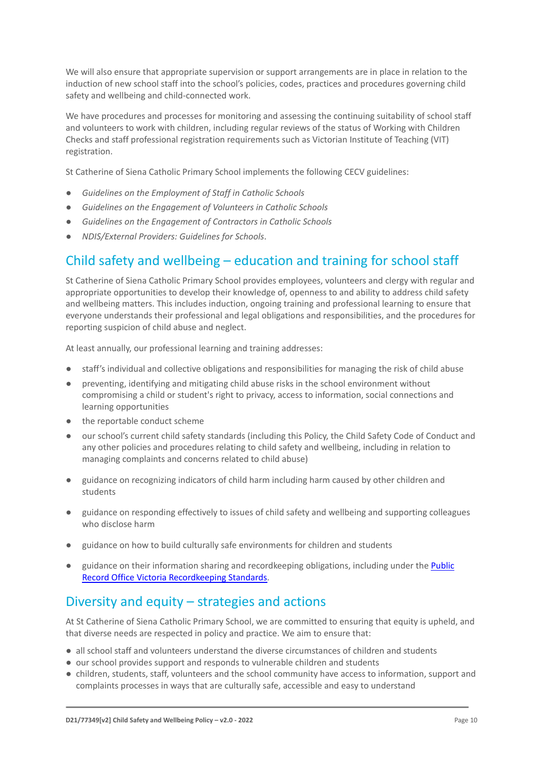We will also ensure that appropriate supervision or support arrangements are in place in relation to the induction of new school staff into the school's policies, codes, practices and procedures governing child safety and wellbeing and child-connected work.

We have procedures and processes for monitoring and assessing the continuing suitability of school staff and volunteers to work with children, including regular reviews of the status of Working with Children Checks and staff professional registration requirements such as Victorian Institute of Teaching (VIT) registration.

St Catherine of Siena Catholic Primary School implements the following CECV guidelines:

- *● Guidelines on the Employment of Staff in Catholic Schools*
- *● Guidelines on the Engagement of Volunteers in Catholic Schools*
- *● Guidelines on the Engagement of Contractors in Catholic Schools*
- *NDIS/External Providers: Guidelines for Schools*.

# Child safety and wellbeing – education and training for school staff

St Catherine of Siena Catholic Primary School provides employees, volunteers and clergy with regular and appropriate opportunities to develop their knowledge of, openness to and ability to address child safety and wellbeing matters. This includes induction, ongoing training and professional learning to ensure that everyone understands their professional and legal obligations and responsibilities, and the procedures for reporting suspicion of child abuse and neglect.

At least annually, our professional learning and training addresses:

- staff's individual and collective obligations and responsibilities for managing the risk of child abuse
- preventing, identifying and mitigating child abuse risks in the school environment without compromising a child or student's right to privacy, access to information, social connections and learning opportunities
- the reportable conduct scheme
- our school's current child safety standards (including this Policy, the Child Safety Code of Conduct and any other policies and procedures relating to child safety and wellbeing, including in relation to managing complaints and concerns related to child abuse)
- guidance on recognizing indicators of child harm including harm caused by other children and students
- guidance on responding effectively to issues of child safety and wellbeing and supporting colleagues who disclose harm
- guidance on how to build culturally safe environments for children and students
- guidance on their information sharing and recordkeeping obligations, including under the [Public](https://prov.vic.gov.au/sites/default/files/files/documents/1906v1.0.pdf) [Record Office Victoria Recordkeeping Standards.](https://prov.vic.gov.au/sites/default/files/files/documents/1906v1.0.pdf)

# Diversity and equity – strategies and actions

At St Catherine of Siena Catholic Primary School, we are committed to ensuring that equity is upheld, and that diverse needs are respected in policy and practice. We aim to ensure that:

- all school staff and volunteers understand the diverse circumstances of children and students
- our school provides support and responds to vulnerable children and students
- children, students, staff, volunteers and the school community have access to information, support and complaints processes in ways that are culturally safe, accessible and easy to understand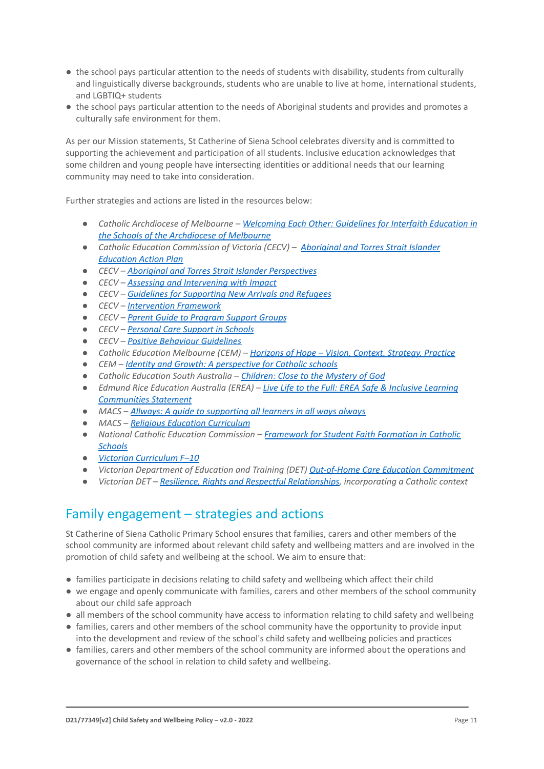- the school pays particular attention to the needs of students with disability, students from culturally and linguistically diverse backgrounds, students who are unable to live at home, international students, and LGBTIQ+ students
- the school pays particular attention to the needs of Aboriginal students and provides and promotes a culturally safe environment for them.

As per our Mission statements, St Catherine of Siena School celebrates diversity and is committed to supporting the achievement and participation of all students. Inclusive education acknowledges that some children and young people have intersecting identities or additional needs that our learning community may need to take into consideration.

Further strategies and actions are listed in the resources below:

- *● Catholic Archdiocese of Melbourne – Welcoming Each [Other: Guidelines for Interfaith Education in](http://www.cam1.org.au/eic/welcoming/index.html) [the Schools of the Archdiocese of Melbourne](http://www.cam1.org.au/eic/welcoming/index.html)*
- *● Catholic Education Commission of Victoria (CECV) – [Aboriginal and Torres Strait Islander](https://www.cecv.catholic.edu.au/getmedia/bd494d6a-2d58-4f9b-94a2-85f3ab75e7ea/CECV-Aboriginal-and-Torres-Strait-Islander-Education-Action-Plan.aspx?ext=.pdf) [Education Action Plan](https://www.cecv.catholic.edu.au/getmedia/bd494d6a-2d58-4f9b-94a2-85f3ab75e7ea/CECV-Aboriginal-and-Torres-Strait-Islander-Education-Action-Plan.aspx?ext=.pdf)*
- *● CECV – [Aboriginal and Torres Strait Islander Perspectives](https://cevn.cecv.catholic.edu.au/Melb/Student-Support/Cultural-Diversity/ATSI-perspectives)*
- *● CECV – [Assessing and Intervening with Impact](https://cevn.cecv.catholic.edu.au/Melb/Document-File/Students-Support/Practices/Assessing-and-intervening-with-impact)*
- *● CECV – [Guidelines for Supporting New Arrivals and](https://www.cecv.catholic.edu.au/getmedia/b1a8935d-5f90-45e6-bb28-828e23c83366/CECV-Guidelines-for-New-Arrivals-and-Refugees-2020-2022.aspx?ext=.pdf) Refugees*
- *● CECV – [Intervention Framework](https://www.cecv.catholic.edu.au/getmedia/757e80aa-1c1a-4510-8d8a-f1ca72a92adb/CECV-Intervention-Framework-2021-overview.aspx?ext=.pdf)*
- *● CECV – [Parent Guide to Program Support Groups](https://www.cecv.catholic.edu.au/getmedia/8067c3e8-72f0-402c-9b78-60450b06c689/Parent-Guide-to-Program-Support-Groups.aspx?ext=.pdf)*
- *● CECV – [Personal Care Support in Schools](https://www.cecv.catholic.edu.au/getmedia/56a1892e-fc3f-45f8-b057-daa8dd462dfd/CECV-Personal-Care-Support-in-Schools.aspx?ext=.pdf)*
- *● CECV – [Positive Behaviour Guidelines](https://www.cecv.catholic.edu.au/getmedia/bc1d235d-9a98-4bb4-b3ac-84b50fa7c639/CECV-Positive-Behaviour-Guidelines_FINAL2.aspx?ext=.pdf)*
- *● Catholic Education Melbourne (CEM) – Horizons of Hope  [Vision, Context, Strategy, Practice](https://cevn.cecv.catholic.edu.au/Melb/Curriculum/Horizons-of-Hope)*
- *● CEM – [Identity and Growth: A perspective for Catholic](https://cevn.cecv.catholic.edu.au/Melb/MI/Identity-Growth) schools*
- *● Catholic Education South Australia – Children: Close [to the Mystery of God](https://safeguardingchildren.acu.edu.au/-/media/feature/micrositesarticles/safeguardingchildren/children_close_to_mystery_of_god_-vjuly2015rev_20150825.pdf?la=en&hash=A5234C17459BAE41E54584FAA066B9A0)*
- *● Edmund Rice Education Australia (EREA) – Live Life [to the Full: EREA Safe & Inclusive Learning](https://www.erea.edu.au/wp-content/uploads/2020/09/Safe_and_inclusive_Resource.pdf) [Communities Statement](https://www.erea.edu.au/wp-content/uploads/2020/09/Safe_and_inclusive_Resource.pdf)*
- *● MACS – [Allways: A guide to supporting all learners](https://www.macs.vic.edu.au/CatholicEducationMelbourne/media/Documentation/Documents/Allways-A4-book-Guide-web.pdf) in all ways always*
- *● MACS – [Religious Education Curriculum](https://resource-macs.com/)*
- *● National Catholic Education Commission – Framework for [Student Faith Formation in Catholic](https://www.ncec.catholic.edu.au/doclink/student-faith-formation-in-catholic-schools-february-2022/eyJ0eXAiOiJKV1QiLCJhbGciOiJIUzI1NiJ9.eyJzdWIiOiJzdHVkZW50LWZhaXRoLWZvcm1hdGlvbi1pbi1jYXRob2xpYy1zY2hvb2xzLWZlYnJ1YXJ5LTIwMjIiLCJpYXQiOjE2NDQyNzM3NTYsImV4cCI6MTY0NDM2MDE1Nn0.jGLDyhU7PGuIaDiSI4Pv5ODo78qVCxDaI9e5o0m7CVg) [Schools](https://www.ncec.catholic.edu.au/doclink/student-faith-formation-in-catholic-schools-february-2022/eyJ0eXAiOiJKV1QiLCJhbGciOiJIUzI1NiJ9.eyJzdWIiOiJzdHVkZW50LWZhaXRoLWZvcm1hdGlvbi1pbi1jYXRob2xpYy1zY2hvb2xzLWZlYnJ1YXJ5LTIwMjIiLCJpYXQiOjE2NDQyNzM3NTYsImV4cCI6MTY0NDM2MDE1Nn0.jGLDyhU7PGuIaDiSI4Pv5ODo78qVCxDaI9e5o0m7CVg)*
- *● [Victorian Curriculum F–10](https://victoriancurriculum.vcaa.vic.edu.au/)*
- *● Victorian Department of Education and Training (DET) [Out-of-Home Care Education Commitment](https://www.cecv.catholic.edu.au/getmedia/11631bac-6208-4324-887e-0aca88189126/OoHC-Education-Commitment.aspx?ext=.pdf)*
- *● Victorian DET – [Resilience, Rights and Respectful](https://fuse.education.vic.gov.au/ResourcePackage/ByPin?pin=2JZX4R) Relationships, incorporating a Catholic context*

# Family engagement – strategies and actions

St Catherine of Siena Catholic Primary School ensures that families, carers and other members of the school community are informed about relevant child safety and wellbeing matters and are involved in the promotion of child safety and wellbeing at the school. We aim to ensure that:

- families participate in decisions relating to child safety and wellbeing which affect their child
- we engage and openly communicate with families, carers and other members of the school community about our child safe approach
- all members of the school community have access to information relating to child safety and wellbeing
- families, carers and other members of the school community have the opportunity to provide input into the development and review of the school's child safety and wellbeing policies and practices
- families, carers and other members of the school community are informed about the operations and governance of the school in relation to child safety and wellbeing.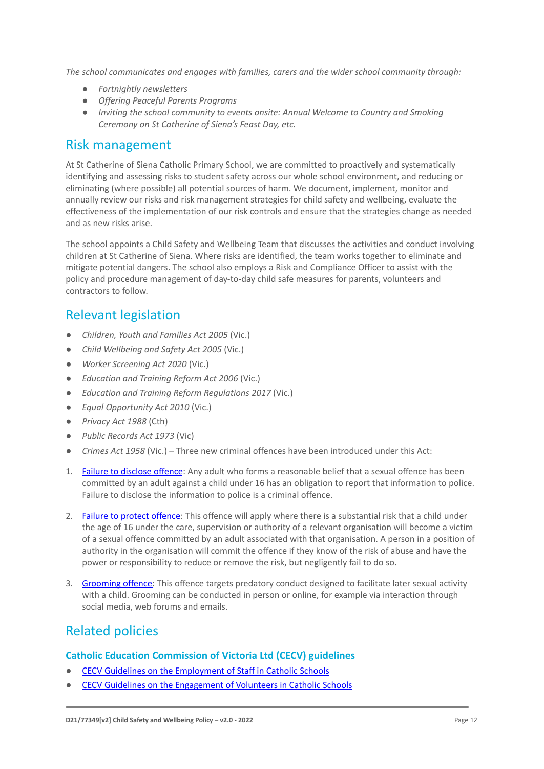*The school communicates and engages with families, carers and the wider school community through:*

- *● Fortnightly newsletters*
- *● Offering Peaceful Parents Programs*
- *● Inviting the school community to events onsite: Annual Welcome to Country and Smoking Ceremony on St Catherine of Siena's Feast Day, etc.*

#### Risk management

At St Catherine of Siena Catholic Primary School, we are committed to proactively and systematically identifying and assessing risks to student safety across our whole school environment, and reducing or eliminating (where possible) all potential sources of harm. We document, implement, monitor and annually review our risks and risk management strategies for child safety and wellbeing, evaluate the effectiveness of the implementation of our risk controls and ensure that the strategies change as needed and as new risks arise.

The school appoints a Child Safety and Wellbeing Team that discusses the activities and conduct involving children at St Catherine of Siena. Where risks are identified, the team works together to eliminate and mitigate potential dangers. The school also employs a Risk and Compliance Officer to assist with the policy and procedure management of day-to-day child safe measures for parents, volunteers and contractors to follow.

# Relevant legislation

- *Children, Youth and Families Act 2005* (Vic.)
- *Child Wellbeing and Safety Act 2005* (Vic.)
- *Worker Screening Act 2020* (Vic.)
- *Education and Training Reform Act 2006* (Vic.)
- *Education and Training Reform Regulations 2017* (Vic.)
- *Equal Opportunity Act 2010* (Vic.)
- *Privacy Act 1988* (Cth)
- *Public Records Act 1973* (Vic)
- *Crimes Act 1958* (Vic.) Three new criminal offences have been introduced under this Act:
- 1. [Failure to disclose offence](https://www.justice.vic.gov.au/safer-communities/protecting-children-and-families/failure-to-disclose-offence#%3A~%3Atext%3DIn%202014%2C%20the%20law%20in%20Victoria%20was%20changed%2Coffended%20against%20a%20child%20under%2016%20in%20Victoria): Any adult who forms a reasonable belief that a sexual offence has been committed by an adult against a child under 16 has an obligation to report that information to police. Failure to disclose the information to police is a criminal offence.
- 2. [Failure to protect offence:](https://www.justice.vic.gov.au/safer-communities/protecting-children-and-families/failure-to-protect-a-new-criminal-offence-to#%3A~%3Atext%3DFailure%20to%20protect%3A%20a%20new%20criminal%20offence%20to%2Cfrom%20sexual%20abuse%20and%20exposure%20to%20sexual%20offenders) This offence will apply where there is a substantial risk that a child under the age of 16 under the care, supervision or authority of a relevant organisation will become a victim of a sexual offence committed by an adult associated with that organisation. A person in a position of authority in the organisation will commit the offence if they know of the risk of abuse and have the power or responsibility to reduce or remove the risk, but negligently fail to do so.
- 3. [Grooming offence:](https://www.justice.vic.gov.au/safer-communities/protecting-children-and-families/grooming-offence) This offence targets predatory conduct designed to facilitate later sexual activity with a child. Grooming can be conducted in person or online, for example via interaction through social media, web forums and emails.

# Related policies

#### **Catholic Education Commission of Victoria Ltd (CECV) guidelines**

- [CECV Guidelines on the Employment of Staff in Catholic Schools](https://www.cecv.catholic.edu.au/getmedia/0393d7fb-2fb9-4e48-a05e-56b703dd62eb/Employment-Guidelines.aspx)
- [CECV Guidelines on the Engagement of Volunteers in Catholic Schools](https://www.cecv.catholic.edu.au/Media-Files/IR/Policies-Guidelines/Volunteers/Guidelines-on-the-Engagement-of-Volunteers.aspx)